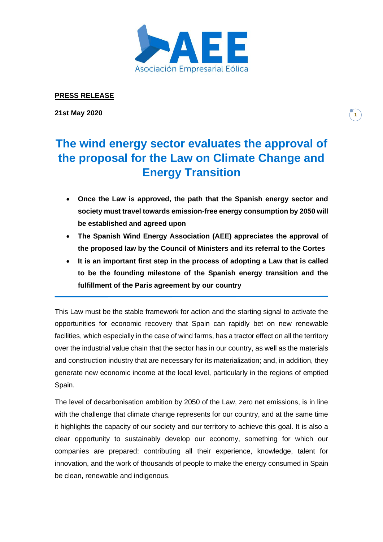

## **PRESS RELEASE**

**21st May 2020**

## **1**

## **The wind energy sector evaluates the approval of the proposal for the Law on Climate Change and Energy Transition**

- **Once the Law is approved, the path that the Spanish energy sector and society must travel towards emission-free energy consumption by 2050 will be established and agreed upon**
- **The Spanish Wind Energy Association (AEE) appreciates the approval of the proposed law by the Council of Ministers and its referral to the Cortes**
- **It is an important first step in the process of adopting a Law that is called to be the founding milestone of the Spanish energy transition and the fulfillment of the Paris agreement by our country**

This Law must be the stable framework for action and the starting signal to activate the opportunities for economic recovery that Spain can rapidly bet on new renewable facilities, which especially in the case of wind farms, has a tractor effect on all the territory over the industrial value chain that the sector has in our country, as well as the materials and construction industry that are necessary for its materialization; and, in addition, they generate new economic income at the local level, particularly in the regions of emptied Spain.

The level of decarbonisation ambition by 2050 of the Law, zero net emissions, is in line with the challenge that climate change represents for our country, and at the same time it highlights the capacity of our society and our territory to achieve this goal. It is also a clear opportunity to sustainably develop our economy, something for which our companies are prepared: contributing all their experience, knowledge, talent for innovation, and the work of thousands of people to make the energy consumed in Spain be clean, renewable and indigenous.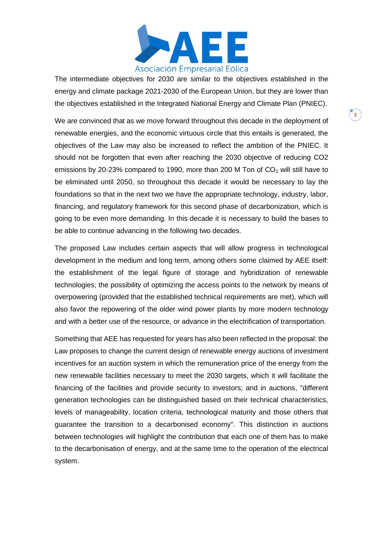

The intermediate objectives for 2030 are similar to the objectives established in the energy and climate package 2021-2030 of the European Union, but they are lower than the objectives established in the Integrated National Energy and Climate Plan (PNIEC).

We are convinced that as we move forward throughout this decade in the deployment of renewable energies, and the economic virtuous circle that this entails is generated, the objectives of the Law may also be increased to reflect the ambition of the PNIEC. It should not be forgotten that even after reaching the 2030 objective of reducing CO2 emissions by 20-23% compared to 1990, more than 200 M Ton of  $CO<sub>2</sub>$  will still have to be eliminated until 2050, so throughout this decade it would be necessary to lay the foundations so that in the next two we have the appropriate technology, industry, labor, financing, and regulatory framework for this second phase of decarbonization, which is going to be even more demanding. In this decade it is necessary to build the bases to be able to continue advancing in the following two decades.

The proposed Law includes certain aspects that will allow progress in technological development in the medium and long term, among others some claimed by AEE itself: the establishment of the legal figure of storage and hybridization of renewable technologies; the possibility of optimizing the access points to the network by means of overpowering (provided that the established technical requirements are met), which will also favor the repowering of the older wind power plants by more modern technology and with a better use of the resource, or advance in the electrification of transportation.

Something that AEE has requested for years has also been reflected in the proposal: the Law proposes to change the current design of renewable energy auctions of investment incentives for an auction system in which the remuneration price of the energy from the new renewable facilities necessary to meet the 2030 targets, which it will facilitate the financing of the facilities and provide security to investors; and in auctions, "different generation technologies can be distinguished based on their technical characteristics, levels of manageability, location criteria, technological maturity and those others that guarantee the transition to a decarbonised economy". This distinction in auctions between technologies will highlight the contribution that each one of them has to make to the decarbonisation of energy, and at the same time to the operation of the electrical system.